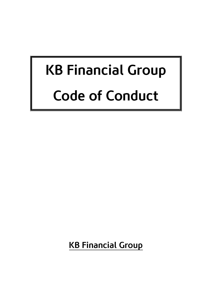# KB Financial Group Code of Conduct

KB Financial Group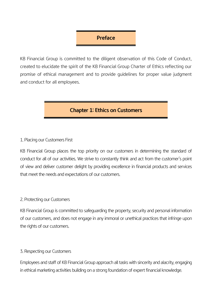## Preface

KB Financial Group is committed to the diligent observation of this Code of Conduct, created to elucidate the spirit of the KB Financial Group Charter of Ethics reflecting our promise of ethical management and to provide guidelines for proper value judgment and conduct for all employees.

## Chapter 1: Ethics on Customers

#### 1. Placing our Customers First

KB Financial Group places the top priority on our customers in determining the standard of conduct for all of our activities. We strive to constantly think and act from the customer's point of view and deliver customer delight by providing excellence in financial products and services that meet the needs and expectations of our customers.

#### 2. Protecting our Customers

KB Financial Group is committed to safeguarding the property, security and personal information of our customers, and does not engage in any immoral or unethical practices that infringe upon the rights of our customers.

#### 3. Respecting our Customers

Employees and staff of KB Financial Group approach all tasks with sincerity and alacrity, engaging in ethical marketing activities building on a strong foundation of expert financial knowledge.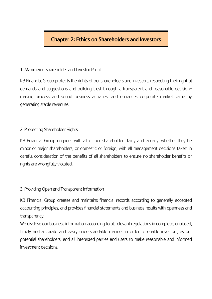## Chapter 2: Ethics on Shareholders and Investors

#### 1. Maximizing Shareholder and Investor Profit

KB Financial Group protects the rights of our shareholders and investors, respecting their rightful demands and suggestions and building trust through a transparent and reasonable decisionmaking process and sound business activities, and enhances corporate market value by generating stable revenues.

#### 2. Protecting Shareholder Rights

KB Financial Group engages with all of our shareholders fairly and equally, whether they be minor or major shareholders, or domestic or foreign, with all management decisions taken in careful consideration of the benefits of all shareholders to ensure no shareholder benefits or rights are wrongfully violated.

#### 3. Providing Open and Transparent Information

KB Financial Group creates and maintains financial records according to generally-accepted accounting principles, and provides financial statements and business results with openness and transparency.

We disclose our business information according to all relevant regulations in complete, unbiased, timely and accurate and easily understandable manner in order to enable investors, as our potential shareholders, and all interested parties and users to make reasonable and informed investment decisions.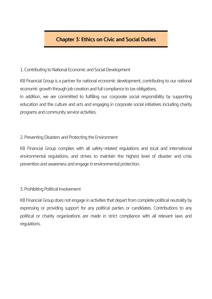# Chapter 3: Ethics on Civic and Social Duties

### 1. Contributing to National Economic and Social Development

KB Financial Group is a partner for national economic development, contributing to our national economic growth through job creation and full compliance to tax obligations.

In addition, we are committed to fulfilling our corporate social responsibility by supporting education and the culture and arts and engaging in corporate social initiatives including charity programs and community service activities.

#### 2. Preventing Disasters and Protecting the Environment

KB Financial Group complies with all safety-related regulations and local and international environmental regulations, and strives to maintain the highest level of disaster and crisis prevention and awareness and engage in environmental protection.

## 3. Prohibiting Political Involvement

KB Financial Group does not engage in activities that depart from complete political neutrality by expressing or providing support for any political parties or candidates. Contributions to any political or charity organizations are made in strict compliance with all relevant laws and regulations.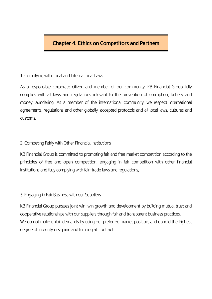## Chapter 4: Ethics on Competitors and Partners

#### 1. Complying with Local and International Laws

As a responsible corporate citizen and member of our community, KB Financial Group fully complies with all laws and regulations relevant to the prevention of corruption, bribery and money laundering. As a member of the international community, we respect international agreements, regulations and other globally-accepted protocols and all local laws, cultures and customs.

#### 2. Competing Fairly with Other Financial Institutions

KB Financial Group is committed to promoting fair and free market competition according to the principles of free and open competition, engaging in fair competition with other financial institutions and fully complying with fair-trade laws and regulations.

#### 3. Engaging in Fair Business with our Suppliers

KB Financial Group pursues joint win-win growth and development by building mutual trust and cooperative relationships with our suppliers through fair and transparent business practices. We do not make unfair demands by using our preferred market position, and uphold the highest degree of integrity in signing and fulfilling all contracts.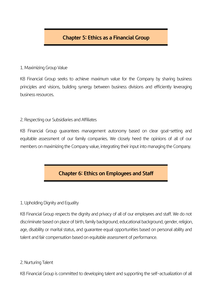## Chapter 5: Ethics as a Financial Group

#### 1. Maximizing Group Value

KB Financial Group seeks to achieve maximum value for the Company by sharing business principles and visions, building synergy between business divisions and efficiently leveraging business resources.

#### 2. Respecting our Subsidiaries and Affiliates

KB Financial Group guarantees management autonomy based on clear goal-setting and equitable assessment of our family companies. We closely heed the opinions of all of our members on maximizing the Company value, integrating their input into managing the Company.

## Chapter 6: Ethics on Employees and Staff

#### 1. Upholding Dignity and Equality

KB Financial Group respects the dignity and privacy of all of our employees and staff. We do not discriminate based on place of birth, family background, educational background, gender, religion, age, disability or marital status, and guarantee equal opportunities based on personal ability and talent and fair compensation based on equitable assessment of performance.

#### 2. Nurturing Talent

KB Financial Group is committed to developing talent and supporting the self-actualization of all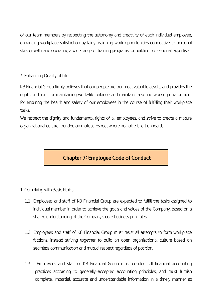of our team members by respecting the autonomy and creativity of each individual employee, enhancing workplace satisfaction by fairly assigning work opportunities conductive to personal skills growth, and operating a wide range of training programs for building professional expertise.

## 3. Enhancing Quality of Life

KB Financial Group firmly believes that our people are our most valuable assets, and provides the right conditions for maintaining work-life balance and maintains a sound working environment for ensuring the health and safety of our employees in the course of fulfilling their workplace tasks.

We respect the dignity and fundamental rights of all employees, and strive to create a mature organizational culture founded on mutual respect where no voice is left unheard.

# Chapter 7: Employee Code of Conduct

- 1. Complying with Basic Ethics
	- 1.1 Employees and staff of KB Financial Group are expected to fulfill the tasks assigned to individual member in order to achieve the goals and values of the Company, based on a shared understanding of the Company's core business principles.
	- 1.2 Employees and staff of KB Financial Group must resist all attempts to form workplace factions, instead striving together to build an open organizational culture based on seamless communication and mutual respect regardless of position.
	- 1.3 Employees and staff of KB Financial Group must conduct all financial accounting practices according to generally-accepted accounting principles, and must furnish complete, impartial, accurate and understandable information in a timely manner as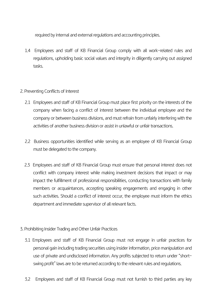required by internal and external regulations and accounting principles.

- 1.4 Employees and staff of KB Financial Group comply with all work-related rules and regulations, upholding basic social values and integrity in diligently carrying out assigned tasks.
- 2. Preventing Conflicts of Interest
	- 2.1 Employees and staff of KB Financial Group must place first priority on the interests of the company when facing a conflict of interest between the individual employee and the company or between business divisions, and must refrain from unfairly interfering with the activities of another business division or assist in unlawful or unfair transactions.
	- 2.2 Business opportunities identified while serving as an employee of KB Financial Group must be delegated to the company.
	- 2.3 Employees and staff of KB Financial Group must ensure that personal interest does not conflict with company interest while making investment decisions that impact or may impact the fulfillment of professional responsibilities, conducting transactions with family members or acquaintances, accepting speaking engagements and engaging in other such activities. Should a conflict of interest occur, the employee must inform the ethics department and immediate supervisor of all relevant facts.
- 3. Prohibiting Insider Trading and Other Unfair Practices
	- 3.1 Employees and staff of KB Financial Group must not engage in unfair practices for personal gain including trading securities using insider information, price manipulation and use of private and undisclosed information. Any profits subjected to return under "shortswing profit" laws are to be returned according to the relevant rules and regulations.
	- 3.2 Employees and staff of KB Financial Group must not furnish to third parties any key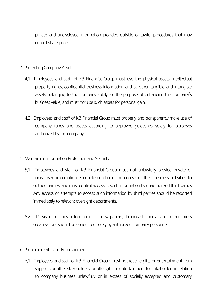private and undisclosed information provided outside of lawful procedures that may impact share prices.

#### 4. Protecting Company Assets

- 4.1 Employees and staff of KB Financial Group must use the physical assets, intellectual property rights, confidential business information and all other tangible and intangible assets belonging to the company solely for the purpose of enhancing the company's business value, and must not use such assets for personal gain.
- 4.2 Employees and staff of KB Financial Group must properly and transparently make use of company funds and assets according to approved guidelines solely for purposes authorized by the company.

#### 5. Maintaining Information Protection and Security

- 5.1 Employees and staff of KB Financial Group must not unlawfully provide private or undisclosed information encountered during the course of their business activities to outside parties, and must control access to such information by unauthorized third parties. Any access or attempts to access such information by third parties should be reported immediately to relevant oversight departments.
- 5.2 Provision of any information to newspapers, broadcast media and other press organizations should be conducted solely by authorized company personnel.

#### 6. Prohibiting Gifts and Entertainment

6.1 Employees and staff of KB Financial Group must not receive gifts or entertainment from suppliers or other stakeholders, or offer gifts or entertainment to stakeholders in relation to company business unlawfully or in excess of socially-accepted and customary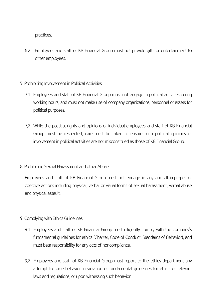practices.

- 6.2 Employees and staff of KB Financial Group must not provide gifts or entertainment to other employees.
- 7. Prohibiting Involvement in Political Activities
	- 7.1 Employees and staff of KB Financial Group must not engage in political activities during working hours, and must not make use of company organizations, personnel or assets for political purposes.
	- 7.2 While the political rights and opinions of individual employees and staff of KB Financial Group must be respected, care must be taken to ensure such political opinions or involvement in political activities are not misconstrued as those of KB Financial Group.
- 8. Prohibiting Sexual Harassment and other Abuse

Employees and staff of KB Financial Group must not engage in any and all improper or coercive actions including physical, verbal or visual forms of sexual harassment, verbal abuse and physical assault.

- 9. Complying with Ethics Guidelines
	- 9.1 Employees and staff of KB Financial Group must diligently comply with the company's fundamental guidelines for ethics (Charter, Code of Conduct, Standards of Behavior), and must bear responsibility for any acts of noncompliance.
	- 9.2 Employees and staff of KB Financial Group must report to the ethics department any attempt to force behavior in violation of fundamental guidelines for ethics or relevant laws and regulations, or upon witnessing such behavior.